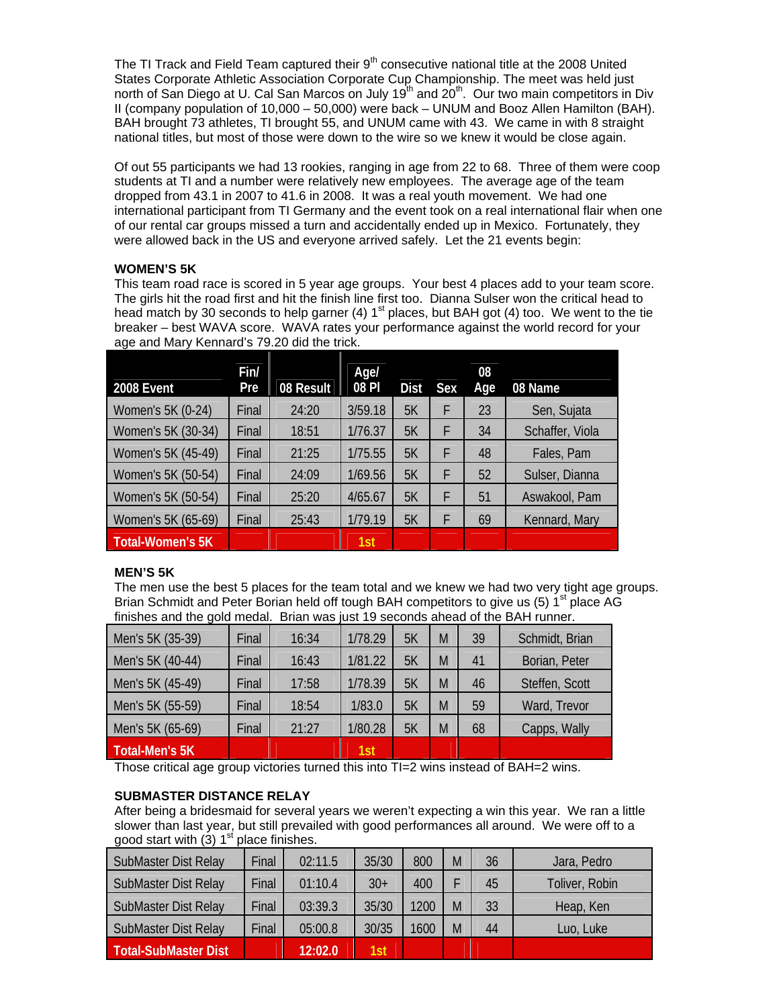The TI Track and Field Team captured their  $9<sup>th</sup>$  consecutive national title at the 2008 United States Corporate Athletic Association Corporate Cup Championship. The meet was held just north of San Diego at U. Cal San Marcos on July 19<sup>th</sup> and 20<sup>th</sup>. Our two main competitors in Div II (company population of 10,000 – 50,000) were back – UNUM and Booz Allen Hamilton (BAH). BAH brought 73 athletes, TI brought 55, and UNUM came with 43. We came in with 8 straight national titles, but most of those were down to the wire so we knew it would be close again.

Of out 55 participants we had 13 rookies, ranging in age from 22 to 68. Three of them were coop students at TI and a number were relatively new employees. The average age of the team dropped from 43.1 in 2007 to 41.6 in 2008. It was a real youth movement. We had one international participant from TI Germany and the event took on a real international flair when one of our rental car groups missed a turn and accidentally ended up in Mexico. Fortunately, they were allowed back in the US and everyone arrived safely. Let the 21 events begin:

# **WOMEN'S 5K**

This team road race is scored in 5 year age groups. Your best 4 places add to your team score. The girls hit the road first and hit the finish line first too. Dianna Sulser won the critical head to head match by 30 seconds to help garner (4)  $1<sup>st</sup>$  places, but BAH got (4) too. We went to the tie breaker – best WAVA score. WAVA rates your performance against the world record for your age and Mary Kennard's 79.20 did the trick.

| 2008 Event              | Fin/<br>Pre | 08 Result | Age/<br>08 PI | <b>Dist</b> | Sex | 08<br>Age | 08 Name         |
|-------------------------|-------------|-----------|---------------|-------------|-----|-----------|-----------------|
| Women's 5K (0-24)       | Final       | 24:20     | 3/59.18       | 5K          | F   | 23        | Sen, Sujata     |
| Women's 5K (30-34)      | Final       | 18:51     | 1/76.37       | 5K          | F   | 34        | Schaffer, Viola |
| Women's 5K (45-49)      | Final       | 21:25     | 1/75.55       | 5Κ          | F   | 48        | Fales, Pam      |
| Women's 5K (50-54)      | Final       | 24:09     | 1/69.56       | 5Κ          | F   | 52        | Sulser, Dianna  |
| Women's 5K (50-54)      | Final       | 25:20     | 4/65.67       | 5Κ          | F   | 51        | Aswakool, Pam   |
| Women's 5K (65-69)      | Final       | 25:43     | 1/79.19       | 5Κ          | F   | 69        | Kennard, Mary   |
| <b>Total-Women's 5K</b> |             |           | 1st           |             |     |           |                 |

# **MEN'S 5K**

The men use the best 5 places for the team total and we knew we had two very tight age groups. Brian Schmidt and Peter Borian held off tough BAH competitors to give us (5)  $1<sup>st</sup>$  place AG finishes and the gold medal. Brian was just 19 seconds ahead of the BAH runner.

| Men's 5K (35-39) | Final | 16:34 | 1/78.29 | 5K | M | 39 | Schmidt, Brian |
|------------------|-------|-------|---------|----|---|----|----------------|
| Men's 5K (40-44) | Final | 16:43 | 1/81.22 | 5K | M | 41 | Borian, Peter  |
| Men's 5K (45-49) | Final | 17:58 | 1/78.39 | 5K | M | 46 | Steffen, Scott |
| Men's 5K (55-59) | Final | 18:54 | 1/83.0  | 5Κ | M | 59 | Ward, Trevor   |
| Men's 5K (65-69) | Final | 21:27 | 1/80.28 | 5K | M | 68 | Capps, Wally   |
| Total-Men's 5K   |       |       | 1st     |    |   |    |                |

Those critical age group victories turned this into TI=2 wins instead of BAH=2 wins.

# **SUBMASTER DISTANCE RELAY**

After being a bridesmaid for several years we weren't expecting a win this year. We ran a little slower than last year, but still prevailed with good performances all around. We were off to a good start with  $(3)$  1<sup>st</sup> place finishes.

| <b>SubMaster Dist Relay</b> | Final | 02:11.5 | 35/30 | 800  | M | 36 | Jara, Pedro    |
|-----------------------------|-------|---------|-------|------|---|----|----------------|
| <b>SubMaster Dist Relay</b> | Final | 01:10.4 | $30+$ | 400  |   | 45 | Toliver, Robin |
| <b>SubMaster Dist Relay</b> | Final | 03:39.3 | 35/30 | 1200 | M | 33 | Heap, Ken      |
| <b>SubMaster Dist Relay</b> | Final | 05:00.8 | 30/35 | 1600 | M | 44 | Luo, Luke      |
| Total-SubMaster Dist        |       | 12:02.0 | 1st   |      |   |    |                |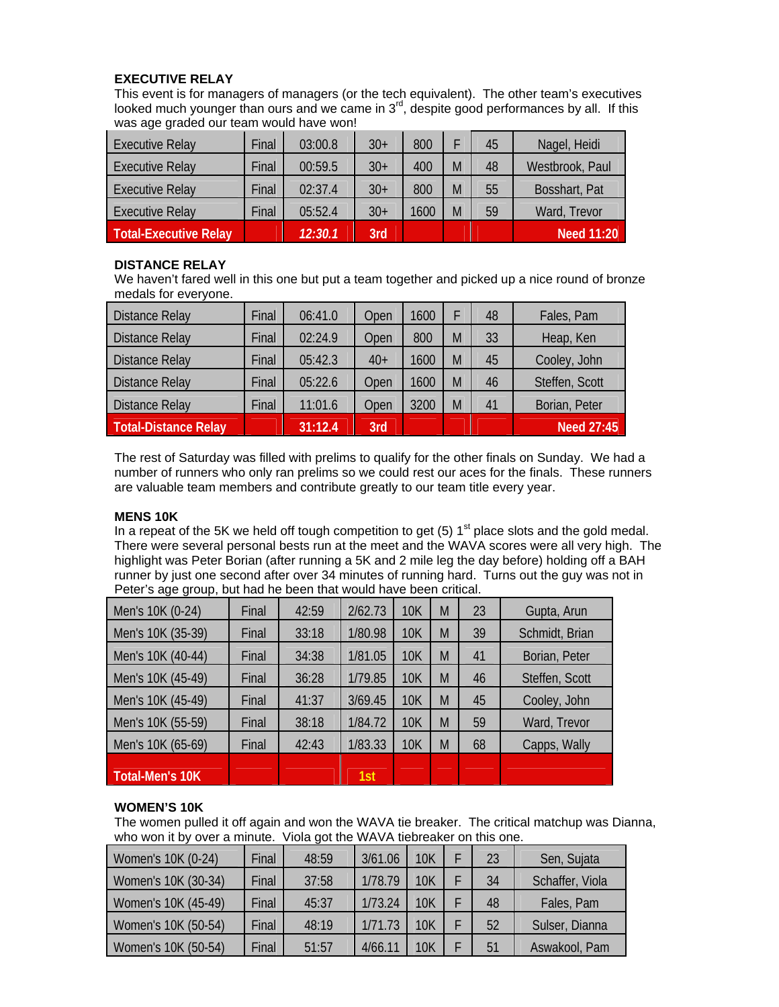# **EXECUTIVE RELAY**

This event is for managers of managers (or the tech equivalent). The other team's executives looked much younger than ours and we came in  $3<sup>rd</sup>$ , despite good performances by all. If this was age graded our team would have won!

| <b>Executive Relay</b>       | Final | 03:00.8 | $30+$ | 800  |   | 45 | Nagel, Heidi    |
|------------------------------|-------|---------|-------|------|---|----|-----------------|
| <b>Executive Relay</b>       | Final | 00:59.5 | $30+$ | 400  | M | 48 | Westbrook, Paul |
| <b>Executive Relay</b>       | Final | 02:37.4 | $30+$ | 800  | M | 55 | Bosshart, Pat   |
| <b>Executive Relay</b>       | Final | 05:52.4 | $30+$ | 1600 | M | 59 | Ward, Trevor    |
| <b>Total-Executive Relay</b> |       | 12:30.1 | 3rd   |      |   |    | Need 11:20      |

# **DISTANCE RELAY**

We haven't fared well in this one but put a team together and picked up a nice round of bronze medals for everyone.

| <b>Distance Relay</b> | Final | 06:41.0 | Open  | 1600 |   | 48 | Fales, Pam     |
|-----------------------|-------|---------|-------|------|---|----|----------------|
| <b>Distance Relay</b> | Final | 02:24.9 | Open  | 800  | M | 33 | Heap, Ken      |
| <b>Distance Relay</b> | Final | 05:42.3 | $40+$ | 1600 | M | 45 | Cooley, John   |
| <b>Distance Relay</b> | Final | 05:22.6 | Open  | 1600 | M | 46 | Steffen, Scott |
| <b>Distance Relay</b> | Final | 11:01.6 | Open  | 3200 | M | 41 | Borian, Peter  |
| Total-Distance Relay  |       | 31:12.4 | 3rd   |      |   |    | Need 27:45     |

The rest of Saturday was filled with prelims to qualify for the other finals on Sunday. We had a number of runners who only ran prelims so we could rest our aces for the finals. These runners are valuable team members and contribute greatly to our team title every year.

# **MENS 10K**

In a repeat of the 5K we held off tough competition to get (5)  $1<sup>st</sup>$  place slots and the gold medal. There were several personal bests run at the meet and the WAVA scores were all very high. The highlight was Peter Borian (after running a 5K and 2 mile leg the day before) holding off a BAH runner by just one second after over 34 minutes of running hard. Turns out the guy was not in Peter's age group, but had he been that would have been critical.

| Men's 10K (0-24)  | Final | 42:59 | 2/62.73 | <b>10K</b> | M | 23 | Gupta, Arun    |
|-------------------|-------|-------|---------|------------|---|----|----------------|
| Men's 10K (35-39) | Final | 33:18 | 1/80.98 | 10K        | M | 39 | Schmidt, Brian |
| Men's 10K (40-44) | Final | 34:38 | 1/81.05 | 10K        | M | 41 | Borian, Peter  |
| Men's 10K (45-49) | Final | 36:28 | 1/79.85 | 10K        | M | 46 | Steffen, Scott |
| Men's 10K (45-49) | Final | 41:37 | 3/69.45 | <b>10K</b> | M | 45 | Cooley, John   |
| Men's 10K (55-59) | Final | 38:18 | 1/84.72 | 10K        | M | 59 | Ward, Trevor   |
| Men's 10K (65-69) | Final | 42:43 | 1/83.33 | 10K        | M | 68 | Capps, Wally   |
| Total-Men's 10K   |       |       | 1st     |            |   |    |                |

# **WOMEN'S 10K**

The women pulled it off again and won the WAVA tie breaker. The critical matchup was Dianna, who won it by over a minute. Viola got the WAVA tiebreaker on this one.

| Women's 10K (0-24)  | Final | 48:59 | 3/61.06 | <b>10K</b> | 23 | Sen, Sujata     |
|---------------------|-------|-------|---------|------------|----|-----------------|
| Women's 10K (30-34) | Final | 37:58 | 1/78.79 | <b>10K</b> | 34 | Schaffer, Viola |
| Women's 10K (45-49) | Final | 45:37 | 1/73.24 | <b>10K</b> | 48 | Fales, Pam      |
| Women's 10K (50-54) | Final | 48:19 | 1/71.73 | 10K        | 52 | Sulser, Dianna  |
| Women's 10K (50-54) | Final | 51:57 | 4/66.11 | 10K        | 51 | Aswakool, Pam   |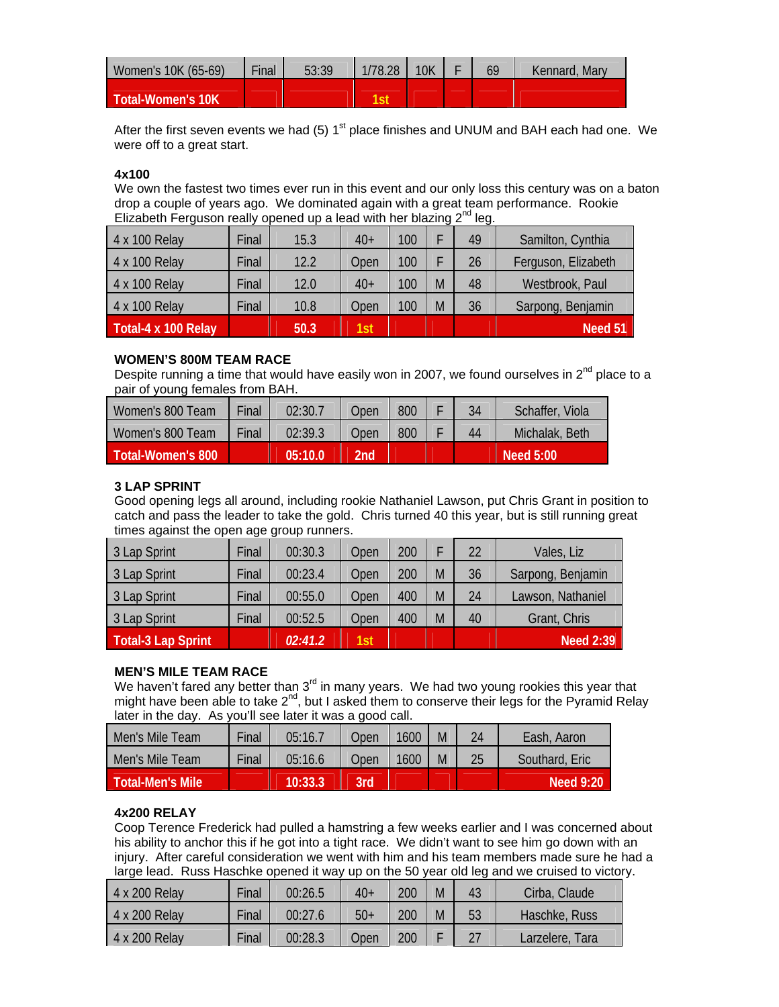| Women's 10K (65-69) | Final | 53:39 | 1/78.28 | 10 <sub>K</sub> | 69 | Kennard, Mary |
|---------------------|-------|-------|---------|-----------------|----|---------------|
| Total-Women's 10K   |       |       |         |                 |    |               |

After the first seven events we had (5)  $1<sup>st</sup>$  place finishes and UNUM and BAH each had one. We were off to a great start.

#### **4x100**

We own the fastest two times ever run in this event and our only loss this century was on a baton drop a couple of years ago. We dominated again with a great team performance. Rookie Elizabeth Ferguson really opened up a lead with her blazing  $2^{nd}$  leg.

| 4 x 100 Relay       | Final | 15.3 | $40+$ | 100 |   | 49 | Samilton, Cynthia   |
|---------------------|-------|------|-------|-----|---|----|---------------------|
| 4 x 100 Relay       | Final | 12.2 | Open  | 100 |   | 26 | Ferguson, Elizabeth |
| 4 x 100 Relay       | Final | 12.0 | $40+$ | 100 | M | 48 | Westbrook, Paul     |
| 4 x 100 Relay       | Final | 10.8 | Open  | 100 | M | 36 | Sarpong, Benjamin   |
| Total-4 x 100 Relay |       | 50.3 | 1st   |     |   |    | Need 51             |

#### **WOMEN'S 800M TEAM RACE**

Despite running a time that would have easily won in 2007, we found ourselves in  $2^{nd}$  place to a pair of young females from BAH.

| Women's 800 Team    | Final | 02:30.7 | Open | 800 | 34 | Schaffer, Viola |
|---------------------|-------|---------|------|-----|----|-----------------|
| Women's 800 Team    | Final | 02:39.3 | Open | 800 | 44 | Michalak, Beth  |
| :Total-Women's 800' |       | 05:10.0 | 2nd  |     |    | Need 5:00       |

### **3 LAP SPRINT**

Good opening legs all around, including rookie Nathaniel Lawson, put Chris Grant in position to catch and pass the leader to take the gold. Chris turned 40 this year, but is still running great times against the open age group runners.

| 3 Lap Sprint       | Final | 00:30.3 | Open | 200 |   | 22 | Vales, Liz        |
|--------------------|-------|---------|------|-----|---|----|-------------------|
| 3 Lap Sprint       | Final | 00:23.4 | Open | 200 | M | 36 | Sarpong, Benjamin |
| 3 Lap Sprint       | Final | 00:55.0 | Open | 400 | M | 24 | Lawson, Nathaniel |
| 3 Lap Sprint       | Final | 00:52.5 | Open | 400 | M | 40 | Grant, Chris      |
| Total-3 Lap Sprint |       | 02:41.2 | 1st  |     |   |    | <b>Need 2:39</b>  |

### **MEN'S MILE TEAM RACE**

We haven't fared any better than  $3<sup>rd</sup>$  in many years. We had two young rookies this year that might have been able to take  $2^{nd}$ , but I asked them to conserve their legs for the Pyramid Relay later in the day. As you'll see later it was a good call.

| Men's Mile Team         | Final | 05:16.7 | Open | 1600 | M | 24 | Eash, Aaron      |
|-------------------------|-------|---------|------|------|---|----|------------------|
| <b>Men's Mile Team</b>  | Final | 05:16.6 | Open | 1600 | M | 25 | Southard, Eric   |
| <b>Total-Men's Mile</b> |       | 10:33.3 | 3rd  |      |   |    | <b>Need 9:20</b> |

### **4x200 RELAY**

Coop Terence Frederick had pulled a hamstring a few weeks earlier and I was concerned about his ability to anchor this if he got into a tight race. We didn't want to see him go down with an injury. After careful consideration we went with him and his team members made sure he had a large lead. Russ Haschke opened it way up on the 50 year old leg and we cruised to victory.

| 4 x 200 Relay | Final | 00:26.5 | $40+$ | 200 | M | 43 | Cirba, Claude   |
|---------------|-------|---------|-------|-----|---|----|-----------------|
| 4 x 200 Relay | Final | 00:27.6 | $50+$ | 200 | M | 53 | Haschke, Russ   |
| 4 x 200 Relay | Final | 00:28.3 | Open  | 200 |   |    | Larzelere, Tara |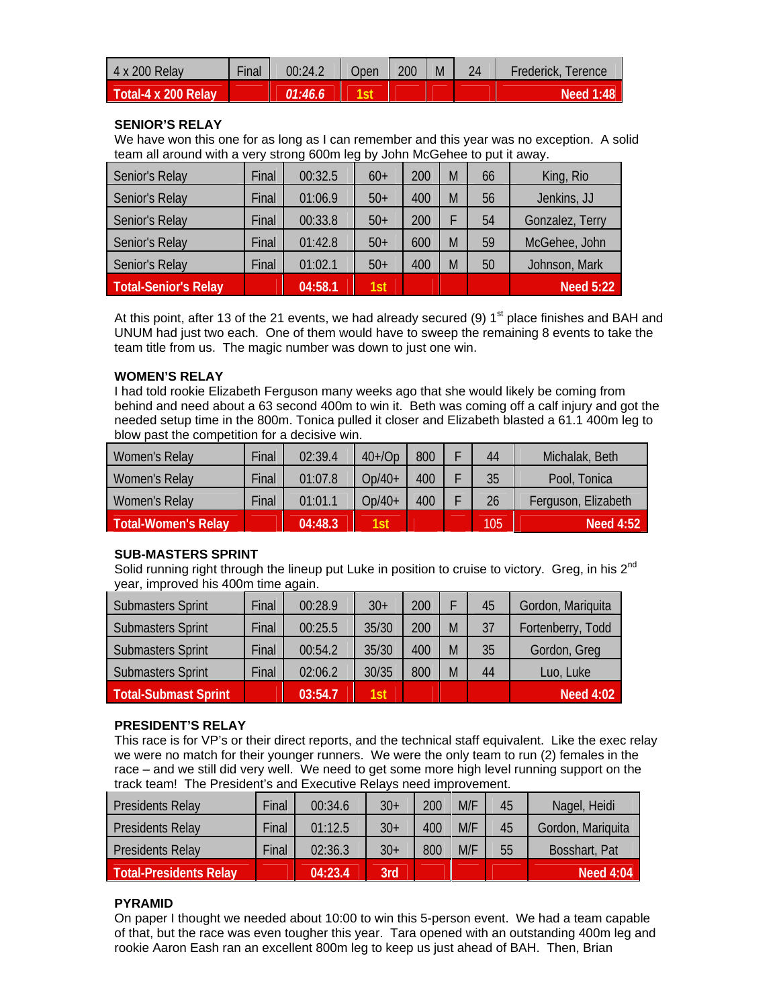| 4 x 200 Relay       | Final | 00:24.2  | Jpen | 200 | M | 24 | Frederick, Terence |
|---------------------|-------|----------|------|-----|---|----|--------------------|
| Total-4 x 200 Relay |       | 01:46.6. |      |     |   |    | Need 1:48          |

# **SENIOR'S RELAY**

We have won this one for as long as I can remember and this year was no exception. A solid team all around with a very strong 600m leg by John McGehee to put it away.

| Senior's Relay       | Final | 00:32.5 | $60+$ | 200 | M | 66 | King, Rio        |
|----------------------|-------|---------|-------|-----|---|----|------------------|
| Senior's Relay       | Final | 01:06.9 | $50+$ | 400 | M | 56 | Jenkins, JJ      |
| Senior's Relay       | Final | 00:33.8 | $50+$ | 200 |   | 54 | Gonzalez, Terry  |
| Senior's Relay       | Final | 01:42.8 | $50+$ | 600 | M | 59 | McGehee, John    |
| Senior's Relay       | Final | 01:02.1 | $50+$ | 400 | M | 50 | Johnson, Mark    |
| Total-Senior's Relay |       | 04:58.1 | 1st   |     |   |    | <b>Need 5:22</b> |

At this point, after 13 of the 21 events, we had already secured (9)  $1<sup>st</sup>$  place finishes and BAH and UNUM had just two each. One of them would have to sweep the remaining 8 events to take the team title from us. The magic number was down to just one win.

### **WOMEN'S RELAY**

I had told rookie Elizabeth Ferguson many weeks ago that she would likely be coming from behind and need about a 63 second 400m to win it. Beth was coming off a calf injury and got the needed setup time in the 800m. Tonica pulled it closer and Elizabeth blasted a 61.1 400m leg to blow past the competition for a decisive win.

| Women's Relay              | Final | 02:39.4 | $40+$ /Op | 800 | 44  | Michalak, Beth      |
|----------------------------|-------|---------|-----------|-----|-----|---------------------|
| Women's Relay              | Final | 01:07.8 | $Op/40+$  | 400 | 35  | Pool, Tonica        |
| Women's Relay              | Final | 01:01.1 | Op/40+    | 400 | 26  | Ferguson, Elizabeth |
| <b>Total-Women's Relay</b> |       | 04:48.3 | 1st       |     | 105 | <b>Need 4:52</b>    |

### **SUB-MASTERS SPRINT**

Solid running right through the lineup put Luke in position to cruise to victory. Greg, in his  $2^{nd}$ year, improved his 400m time again.

| <b>Submasters Sprint</b> | Final | 00:28.9 | $30+$ | 200 |   | 45 | Gordon, Mariquita |
|--------------------------|-------|---------|-------|-----|---|----|-------------------|
| <b>Submasters Sprint</b> | Final | 00:25.5 | 35/30 | 200 | M | 37 | Fortenberry, Todd |
| <b>Submasters Sprint</b> | Final | 00:54.2 | 35/30 | 400 | M | 35 | Gordon, Greg      |
| <b>Submasters Sprint</b> | Final | 02:06.2 | 30/35 | 800 | M | 44 | Luo, Luke         |
| Total-Submast Sprint     |       | 03:54.7 | 1st   |     |   |    | <b>Need 4:02</b>  |

### **PRESIDENT'S RELAY**

This race is for VP's or their direct reports, and the technical staff equivalent. Like the exec relay we were no match for their younger runners. We were the only team to run (2) females in the race – and we still did very well. We need to get some more high level running support on the track team! The President's and Executive Relays need improvement.

| Presidents Relay              | Final | 00:34.6 | $30+$ | 200 | M/F | 45 | Nagel, Heidi      |
|-------------------------------|-------|---------|-------|-----|-----|----|-------------------|
| Presidents Relay              | Final | 01:12.5 | $30+$ | 400 | M/F | 45 | Gordon, Mariquita |
| Presidents Relay              | Final | 02:36.3 | $30+$ | 800 | M/F | 55 | Bosshart, Pat     |
| <b>Total-Presidents Relay</b> |       | 04:23.4 | 3rd'  |     |     |    | Need $4:04$       |

# **PYRAMID**

On paper I thought we needed about 10:00 to win this 5-person event. We had a team capable of that, but the race was even tougher this year. Tara opened with an outstanding 400m leg and rookie Aaron Eash ran an excellent 800m leg to keep us just ahead of BAH. Then, Brian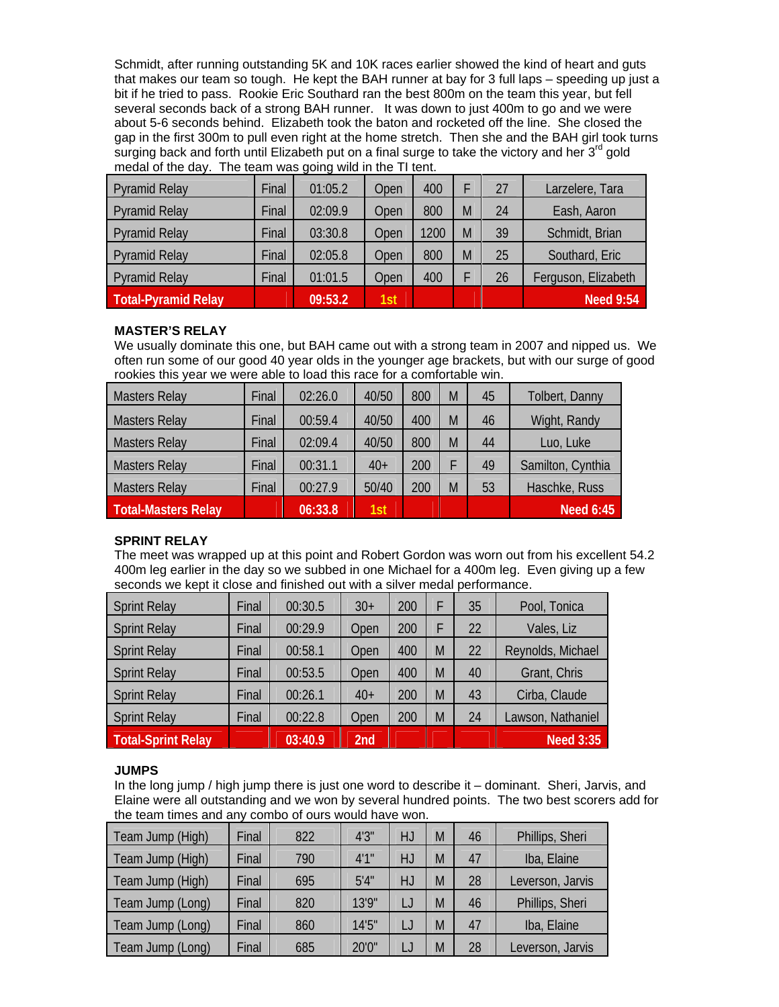Schmidt, after running outstanding 5K and 10K races earlier showed the kind of heart and guts that makes our team so tough. He kept the BAH runner at bay for 3 full laps – speeding up just a bit if he tried to pass. Rookie Eric Southard ran the best 800m on the team this year, but fell several seconds back of a strong BAH runner. It was down to just 400m to go and we were about 5-6 seconds behind. Elizabeth took the baton and rocketed off the line. She closed the gap in the first 300m to pull even right at the home stretch. Then she and the BAH girl took turns surging back and forth until Elizabeth put on a final surge to take the victory and her  $3<sup>rd</sup>$  gold medal of the day. The team was going wild in the TI tent.

| <b>Pyramid Relay</b>       | Final | 01:05.2 | Open | 400  |   | 27 | Larzelere, Tara     |
|----------------------------|-------|---------|------|------|---|----|---------------------|
| <b>Pyramid Relay</b>       | Final | 02:09.9 | Open | 800  | M | 24 | Eash, Aaron         |
| <b>Pyramid Relay</b>       | Final | 03:30.8 | Open | 1200 | M | 39 | Schmidt, Brian      |
| <b>Pyramid Relay</b>       | Final | 02:05.8 | Open | 800  | M | 25 | Southard, Eric      |
| <b>Pyramid Relay</b>       | Final | 01:01.5 | Open | 400  |   | 26 | Ferguson, Elizabeth |
| <b>Total-Pyramid Relay</b> |       | 09:53.2 | 1st  |      |   |    | <b>Need 9:54</b>    |

# **MASTER'S RELAY**

We usually dominate this one, but BAH came out with a strong team in 2007 and nipped us. We often run some of our good 40 year olds in the younger age brackets, but with our surge of good rookies this year we were able to load this race for a comfortable win.

| <b>Masters Relay</b> | Final | 02:26.0 | 40/50 | 800 | M | 45 | Tolbert, Danny    |
|----------------------|-------|---------|-------|-----|---|----|-------------------|
| <b>Masters Relay</b> | Final | 00:59.4 | 40/50 | 400 | M | 46 | Wight, Randy      |
| <b>Masters Relay</b> | Final | 02:09.4 | 40/50 | 800 | M | 44 | Luo, Luke         |
| <b>Masters Relay</b> | Final | 00:31.1 | $40+$ | 200 |   | 49 | Samilton, Cynthia |
| <b>Masters Relay</b> | Final | 00:27.9 | 50/40 | 200 | M | 53 | Haschke, Russ     |
| Total-Masters Relay  |       | 06:33.8 | 1st   |     |   |    | <b>Need 6:45</b>  |

### **SPRINT RELAY**

The meet was wrapped up at this point and Robert Gordon was worn out from his excellent 54.2 400m leg earlier in the day so we subbed in one Michael for a 400m leg. Even giving up a few seconds we kept it close and finished out with a silver medal performance.

| <b>Sprint Relay</b>       | Final | 00:30.5 | $30+$           | 200 | F | 35 | Pool, Tonica      |
|---------------------------|-------|---------|-----------------|-----|---|----|-------------------|
| <b>Sprint Relay</b>       | Final | 00:29.9 | Open            | 200 | F | 22 | Vales, Liz        |
| <b>Sprint Relay</b>       | Final | 00:58.1 | Open            | 400 | M | 22 | Reynolds, Michael |
| <b>Sprint Relay</b>       | Final | 00:53.5 | Open            | 400 | M | 40 | Grant, Chris      |
| <b>Sprint Relay</b>       | Final | 00:26.1 | $40+$           | 200 | M | 43 | Cirba, Claude     |
| <b>Sprint Relay</b>       | Final | 00:22.8 | Open            | 200 | M | 24 | Lawson, Nathaniel |
| <b>Total-Sprint Relay</b> |       | 03:40.9 | 2 <sub>nd</sub> |     |   |    | <b>Need 3:35</b>  |

# **JUMPS**

In the long jump / high jump there is just one word to describe it – dominant. Sheri, Jarvis, and Elaine were all outstanding and we won by several hundred points. The two best scorers add for the team times and any combo of ours would have won.

| Team Jump (High) | Final | 822 | 4'3''  | HJ | M | 46 | Phillips, Sheri  |
|------------------|-------|-----|--------|----|---|----|------------------|
| Team Jump (High) | Final | 790 | 4'1''  | HJ | M | 47 | Iba, Elaine      |
| Team Jump (High) | Final | 695 | 5'4''  | HJ | M | 28 | Leverson, Jarvis |
| Team Jump (Long) | Final | 820 | 13'9"  |    | M | 46 | Phillips, Sheri  |
| Team Jump (Long) | Final | 860 | 14'5'' |    | M | 47 | Iba, Elaine      |
| Team Jump (Long) | Final | 685 | 20'0"  |    | M | 28 | Leverson, Jarvis |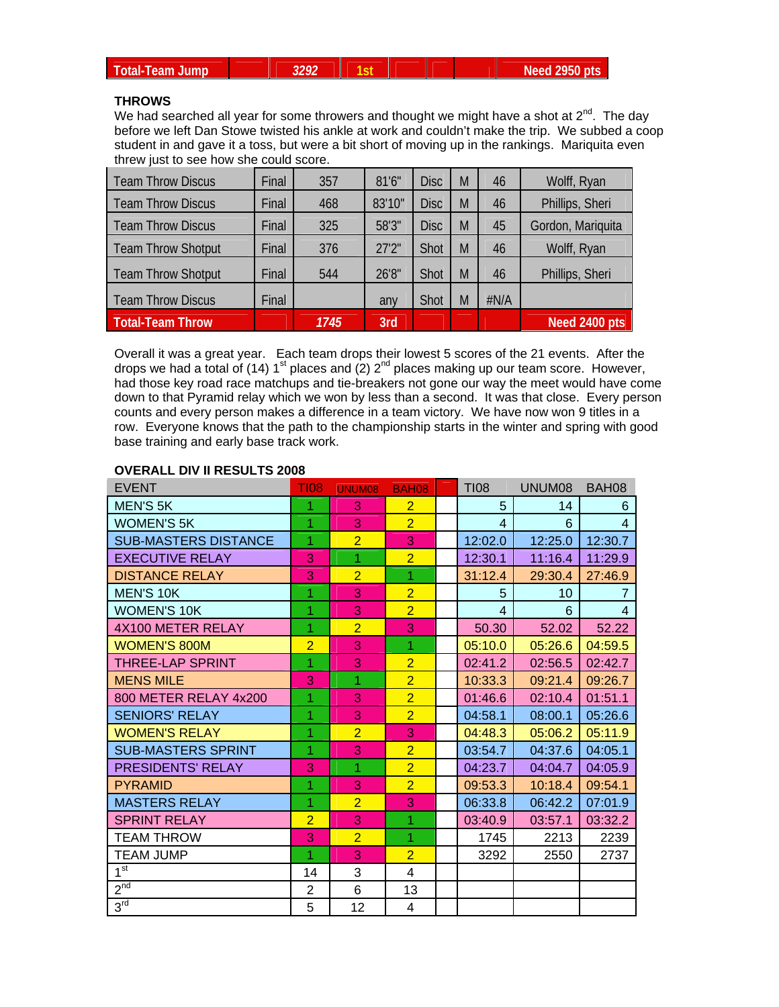|  | <b>Total-Team Jump</b> |
|--|------------------------|
|  |                        |
|  |                        |

# **THROWS**

We had searched all year for some throwers and thought we might have a shot at  $2^{nd}$ . The day before we left Dan Stowe twisted his ankle at work and couldn't make the trip. We subbed a coop student in and gave it a toss, but were a bit short of moving up in the rankings. Mariquita even threw just to see how she could score.

| <b>Team Throw Discus</b>  | Final | 357  | 81'6'' | <b>Disc</b> | M | 46   | Wolff, Ryan       |
|---------------------------|-------|------|--------|-------------|---|------|-------------------|
| <b>Team Throw Discus</b>  | Final | 468  | 83'10" | <b>Disc</b> | M | 46   | Phillips, Sheri   |
| <b>Team Throw Discus</b>  | Final | 325  | 58'3"  | <b>Disc</b> | M | 45   | Gordon, Mariquita |
| <b>Team Throw Shotput</b> | Final | 376  | 27'2"  | Shot        | M | 46   | Wolff, Ryan       |
| <b>Team Throw Shotput</b> | Final | 544  | 26'8"  | Shot        | M | 46   | Phillips, Sheri   |
| <b>Team Throw Discus</b>  | Final |      | any    | <b>Shot</b> | M | #N/A |                   |
| <b>Total-Team Throw</b>   |       | 1745 | 3rd    |             |   |      | Need 2400 pts     |

Overall it was a great year. Each team drops their lowest 5 scores of the 21 events. After the drops we had a total of (14) 1<sup>st</sup> places and (2)  $2^{nd}$  places making up our team score. However, had those key road race matchups and tie-breakers not gone our way the meet would have come down to that Pyramid relay which we won by less than a second. It was that close. Every person counts and every person makes a difference in a team victory. We have now won 9 titles in a row. Everyone knows that the path to the championship starts in the winter and spring with good base training and early base track work.

#### **OVERALL DIV II RESULTS 2008**

| <b>EVENT</b>                | <b>TI08</b>    | <b>UNUM08</b>  | <b>BAH08</b>   | <b>TI08</b> | UNUM08  | BAH08          |
|-----------------------------|----------------|----------------|----------------|-------------|---------|----------------|
| <b>MEN'S 5K</b>             | 1              | 3              | $\overline{2}$ | 5           | 14      | 6              |
| <b>WOMEN'S 5K</b>           | 1              | 3              | $\overline{2}$ | 4           | 6       | $\overline{4}$ |
| <b>SUB-MASTERS DISTANCE</b> | $\overline{1}$ | $\overline{2}$ | 3              | 12:02.0     | 12:25.0 | 12:30.7        |
| <b>EXECUTIVE RELAY</b>      | 3              | 1              | $\overline{2}$ | 12:30.1     | 11:16.4 | 11:29.9        |
| <b>DISTANCE RELAY</b>       | 3              | $\overline{2}$ | $\overline{1}$ | 31:12.4     | 29:30.4 | 27:46.9        |
| <b>MEN'S 10K</b>            | 1              | 3              | $\overline{2}$ | 5           | 10      |                |
| <b>WOMEN'S 10K</b>          | 1              | 3              | $\overline{2}$ | 4           | 6       | $\overline{4}$ |
| 4X100 METER RELAY           | 1              | $\overline{2}$ | 3              | 50.30       | 52.02   | 52.22          |
| <b>WOMEN'S 800M</b>         | $\overline{2}$ | 3              | 1              | 05:10.0     | 05:26.6 | 04:59.5        |
| THREE-LAP SPRINT            | 1              | 3              | $\overline{2}$ | 02:41.2     | 02:56.5 | 02:42.7        |
| <b>MENS MILE</b>            | 3              | 1              | $\overline{2}$ | 10:33.3     | 09:21.4 | 09:26.7        |
| 800 METER RELAY 4x200       | 1              | 3              | $\overline{2}$ | 01:46.6     | 02:10.4 | 01:51.1        |
| <b>SENIORS' RELAY</b>       | 1              | 3              | $\overline{2}$ | 04:58.1     | 08:00.1 | 05:26.6        |
| <b>WOMEN'S RELAY</b>        | 1              | $\overline{2}$ | 3              | 04:48.3     | 05:06.2 | 05:11.9        |
| <b>SUB-MASTERS SPRINT</b>   | 1              | 3              | $\overline{2}$ | 03:54.7     | 04:37.6 | 04:05.1        |
| <b>PRESIDENTS' RELAY</b>    | 3              | 1              | $\overline{2}$ | 04:23.7     | 04:04.7 | 04:05.9        |
| <b>PYRAMID</b>              | 1              | 3              | $\overline{2}$ | 09:53.3     | 10:18.4 | 09:54.1        |
| <b>MASTERS RELAY</b>        | 1              | $\overline{2}$ | 3              | 06:33.8     | 06:42.2 | 07:01.9        |
| <b>SPRINT RELAY</b>         | $\overline{2}$ | 3              | 1              | 03:40.9     | 03:57.1 | 03:32.2        |
| <b>TEAM THROW</b>           | 3              | $\overline{2}$ | 1              | 1745        | 2213    | 2239           |
| <b>TEAM JUMP</b>            | 1              | 3              | $\overline{2}$ | 3292        | 2550    | 2737           |
| 1 <sup>st</sup>             | 14             | 3              | 4              |             |         |                |
| 2 <sup>nd</sup>             | 2              | 6              | 13             |             |         |                |
| 3 <sup>rd</sup>             | 5              | 12             | $\overline{4}$ |             |         |                |